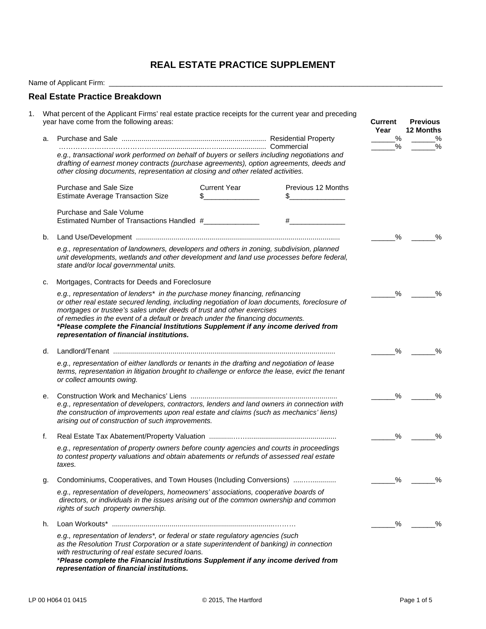# **REAL ESTATE PRACTICE SUPPLEMENT**

Name of Applicant Firm: \_\_\_\_\_\_\_\_\_\_\_\_\_\_\_\_\_\_\_\_\_\_\_\_\_\_\_\_\_\_\_\_\_\_\_\_\_\_\_\_\_\_\_\_\_\_\_\_\_\_\_\_\_\_\_\_\_\_\_\_\_\_\_\_\_\_\_\_\_\_\_\_\_\_\_\_\_\_\_\_\_\_\_\_

| a. | What percent of the Applicant Firms' real estate practice receipts for the current year and preceding<br>year have come from the following areas:                                                                                                                                                                                                                                                                                                                           |                                      | Current<br>Year<br>$\frac{0}{2}$                                                                                                                                                                                                                                                                                       | <b>Previous</b><br><b>12 Months</b><br>$\%$ |               |
|----|-----------------------------------------------------------------------------------------------------------------------------------------------------------------------------------------------------------------------------------------------------------------------------------------------------------------------------------------------------------------------------------------------------------------------------------------------------------------------------|--------------------------------------|------------------------------------------------------------------------------------------------------------------------------------------------------------------------------------------------------------------------------------------------------------------------------------------------------------------------|---------------------------------------------|---------------|
|    |                                                                                                                                                                                                                                                                                                                                                                                                                                                                             |                                      |                                                                                                                                                                                                                                                                                                                        | %                                           | $\%$          |
|    | e.g., transactional work performed on behalf of buyers or sellers including negotiations and<br>drafting of earnest money contracts (purchase agreements), option agreements, deeds and<br>other closing documents, representation at closing and other related activities.                                                                                                                                                                                                 |                                      |                                                                                                                                                                                                                                                                                                                        |                                             |               |
|    | Purchase and Sale Size<br><b>Estimate Average Transaction Size</b>                                                                                                                                                                                                                                                                                                                                                                                                          | <b>Current Year</b><br>$\frac{1}{2}$ | Previous 12 Months<br>$\mathbb{S}$ and $\mathbb{S}$ and $\mathbb{S}$ and $\mathbb{S}$ and $\mathbb{S}$ and $\mathbb{S}$ and $\mathbb{S}$ and $\mathbb{S}$ and $\mathbb{S}$ and $\mathbb{S}$ and $\mathbb{S}$ and $\mathbb{S}$ and $\mathbb{S}$ and $\mathbb{S}$ and $\mathbb{S}$ and $\mathbb{S}$ and $\mathbb{S}$ and |                                             |               |
|    | Purchase and Sale Volume<br>Estimated Number of Transactions Handled #                                                                                                                                                                                                                                                                                                                                                                                                      |                                      | $\#$ and the set of $\#$                                                                                                                                                                                                                                                                                               |                                             |               |
| b. |                                                                                                                                                                                                                                                                                                                                                                                                                                                                             |                                      |                                                                                                                                                                                                                                                                                                                        | $\%$                                        | %             |
|    | e.g., representation of landowners, developers and others in zoning, subdivision, planned<br>unit developments, wetlands and other development and land use processes before federal,<br>state and/or local governmental units.                                                                                                                                                                                                                                             |                                      |                                                                                                                                                                                                                                                                                                                        |                                             |               |
| c. | Mortgages, Contracts for Deeds and Foreclosure                                                                                                                                                                                                                                                                                                                                                                                                                              |                                      |                                                                                                                                                                                                                                                                                                                        |                                             |               |
|    | e.g., representation of lenders* in the purchase money financing, refinancing<br>or other real estate secured lending, including negotiation of loan documents, foreclosure of<br>mortgages or trustee's sales under deeds of trust and other exercises<br>of remedies in the event of a default or breach under the financing documents.<br>*Please complete the Financial Institutions Supplement if any income derived from<br>representation of financial institutions. | %                                    | $\frac{0}{0}$                                                                                                                                                                                                                                                                                                          |                                             |               |
| d. |                                                                                                                                                                                                                                                                                                                                                                                                                                                                             | %                                    | $\frac{0}{0}$                                                                                                                                                                                                                                                                                                          |                                             |               |
|    | e.g., representation of either landlords or tenants in the drafting and negotiation of lease<br>terms, representation in litigation brought to challenge or enforce the lease, evict the tenant<br>or collect amounts owing.                                                                                                                                                                                                                                                |                                      |                                                                                                                                                                                                                                                                                                                        |                                             |               |
| е. |                                                                                                                                                                                                                                                                                                                                                                                                                                                                             |                                      |                                                                                                                                                                                                                                                                                                                        | %                                           | $\%$          |
|    | e.g., representation of developers, contractors, lenders and land owners in connection with<br>the construction of improvements upon real estate and claims (such as mechanics' liens)<br>arising out of construction of such improvements.                                                                                                                                                                                                                                 |                                      |                                                                                                                                                                                                                                                                                                                        |                                             |               |
| f. |                                                                                                                                                                                                                                                                                                                                                                                                                                                                             |                                      |                                                                                                                                                                                                                                                                                                                        | %                                           | $\frac{0}{0}$ |
|    | e.g., representation of property owners before county agencies and courts in proceedings<br>to contest property valuations and obtain abatements or refunds of assessed real estate<br>taxes.                                                                                                                                                                                                                                                                               |                                      |                                                                                                                                                                                                                                                                                                                        |                                             |               |
| g. | Condominiums, Cooperatives, and Town Houses (Including Conversions)                                                                                                                                                                                                                                                                                                                                                                                                         |                                      | %                                                                                                                                                                                                                                                                                                                      | %                                           |               |
|    | e.g., representation of developers, homeowners' associations, cooperative boards of<br>directors, or individuals in the issues arising out of the common ownership and common<br>rights of such property ownership.                                                                                                                                                                                                                                                         |                                      |                                                                                                                                                                                                                                                                                                                        |                                             |               |
| h. |                                                                                                                                                                                                                                                                                                                                                                                                                                                                             |                                      |                                                                                                                                                                                                                                                                                                                        | %                                           | %             |
|    | e.g., representation of lenders*, or federal or state regulatory agencies (such<br>as the Resolution Trust Corporation or a state superintendent of banking) in connection<br>with restructuring of real estate secured loans.<br>*Please complete the Financial Institutions Supplement if any income derived from<br>representation of financial institutions.                                                                                                            |                                      |                                                                                                                                                                                                                                                                                                                        |                                             |               |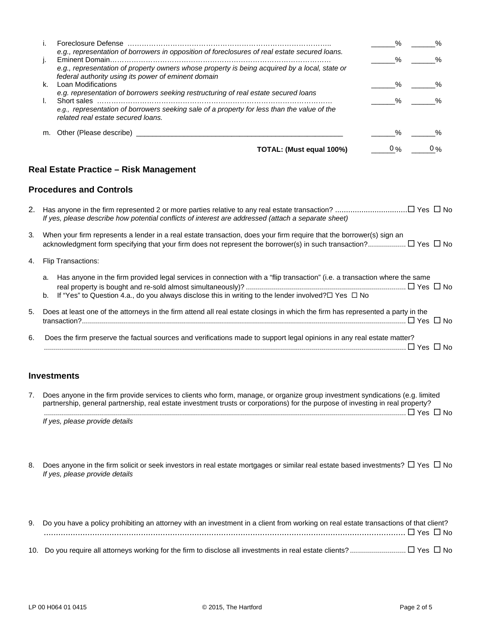|    |                                                                                                                                                      | %             | $\%$          |
|----|------------------------------------------------------------------------------------------------------------------------------------------------------|---------------|---------------|
|    | e.g., representation of borrowers in opposition of foreclosures of real estate secured loans.                                                        | %             | %             |
|    | e.g., representation of property owners whose property is being acquired by a local, state or<br>federal authority using its power of eminent domain |               |               |
| k. | Loan Modifications                                                                                                                                   | %             | %             |
|    | e.g. representation of borrowers seeking restructuring of real estate secured loans                                                                  |               |               |
|    |                                                                                                                                                      | %             | $\%$          |
|    | e.g., representation of borrowers seeking sale of a property for less than the value of the<br>related real estate secured loans.                    |               |               |
| m. |                                                                                                                                                      | $\frac{1}{2}$ | $\frac{0}{6}$ |
|    | TOTAL: (Must equal 100%)                                                                                                                             | $0\%$         | $0\%$         |

### **Real Estate Practice – Risk Management**

#### **Procedures and Controls**

| 2. Has anyone in the firm represented 2 or more parties relative to any real estate transaction? □ Yes □ No |  |
|-------------------------------------------------------------------------------------------------------------|--|
| If yes, please describe how potential conflicts of interest are addressed (attach a separate sheet)         |  |

- 3*.* When your firm represents a lender in a real estate transaction, does your firm require that the borrower(s) sign an acknowledgment form specifying that your firm does not represent the borrower(s) in such transaction? ................... Yes No
- 4. Flip Transactions:
	- a. Has anyone in the firm provided legal services in connection with a "flip transaction" (i.e. a transaction where the same real property is bought and re-sold almost simultaneously)? ................................................................................ Yes No
	- b. If "Yes" to Question 4.a., do you always disclose this in writing to the lender involved? $\Box$  Yes  $\Box$  No

| 5. Does at least one of the attorneys in the firm attend all real estate closings in which the firm has represented a party in the |
|------------------------------------------------------------------------------------------------------------------------------------|
|                                                                                                                                    |
|                                                                                                                                    |

6. Does the firm preserve the factual sources and verifications made to support legal opinions in any real estate matter? ..................................................................................................................................................................................... Yes No

### **Investments**

| Does anyone in the firm provide services to clients who form, manage, or organize group investment syndications (e.g. limited   |
|---------------------------------------------------------------------------------------------------------------------------------|
| partnership, general partnership, real estate investment trusts or corporations) for the purpose of investing in real property? |
| □ Yes □ No                                                                                                                      |
| If yes, please provide details                                                                                                  |

8. Does anyone in the firm solicit or seek investors in real estate mortgages or similar real estate based investments?  $\Box$  Yes  $\Box$  No *If yes, please provide details*

| 9. Do you have a policy prohibiting an attorney with an investment in a client from working on real estate transactions of that client? |
|-----------------------------------------------------------------------------------------------------------------------------------------|
|                                                                                                                                         |
|                                                                                                                                         |
|                                                                                                                                         |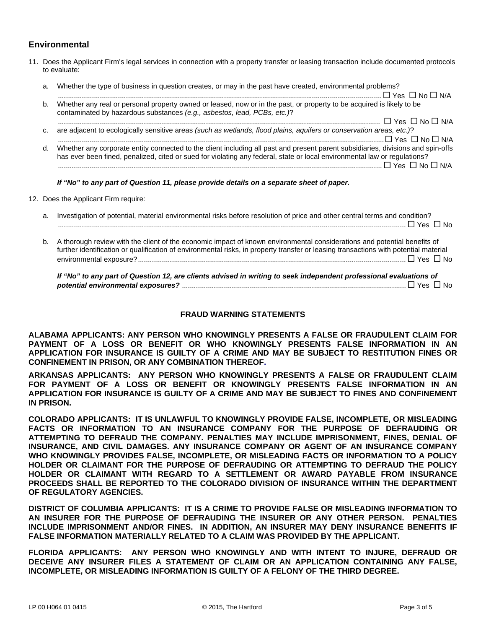## **Environmental**

- 11. Does the Applicant Firm's legal services in connection with a property transfer or leasing transaction include documented protocols to evaluate:
	- a. Whether the type of business in question creates, or may in the past have created, environmental problems?

|    | $\Box$ Yes $\Box$ No $\Box$ N/A                                                                                                                                                                   |
|----|---------------------------------------------------------------------------------------------------------------------------------------------------------------------------------------------------|
| b. | Whether any real or personal property owned or leased, now or in the past, or property to be acquired is likely to be<br>contaminated by hazardous substances (e.g., asbestos, lead, PCBs, etc.)? |
|    | $\Box$ Yes $\Box$ No $\Box$ N/A                                                                                                                                                                   |
| C. | are adjacent to ecologically sensitive areas (such as wetlands, flood plains, aquifers or conservation areas, etc.)?                                                                              |

 ................................................................................................................................................................... Yes No N/A d. Whether any corporate entity connected to the client including all past and present parent subsidiaries, divisions and spin-offs has ever been fined, penalized, cited or sued for violating any federal, state or local environmental law or regulations? .................................................................................................................................................................. Yes No N/A

*If "No" to any part of Question 11, please provide details on a separate sheet of paper.*

12. Does the Applicant Firm require:

a. Investigation of potential, material environmental risks before resolution of price and other central terms and condition? .............................................................................................................................................................................. Yes No b. A thorough review with the client of the economic impact of known environmental considerations and potential benefits of further identification or qualification of environmental risks, in property transfer or leasing transactions with potential material environmental exposure? ...................................................................................................................................... Yes No

*If "No" to any part of Question 12, are clients advised in writing to seek independent professional evaluations of potential environmental exposures?* ................................................................................................................ Yes No

#### **FRAUD WARNING STATEMENTS**

**ALABAMA APPLICANTS: ANY PERSON WHO KNOWINGLY PRESENTS A FALSE OR FRAUDULENT CLAIM FOR PAYMENT OF A LOSS OR BENEFIT OR WHO KNOWINGLY PRESENTS FALSE INFORMATION IN AN APPLICATION FOR INSURANCE IS GUILTY OF A CRIME AND MAY BE SUBJECT TO RESTITUTION FINES OR CONFINEMENT IN PRISON, OR ANY COMBINATION THEREOF.**

**ARKANSAS APPLICANTS: ANY PERSON WHO KNOWINGLY PRESENTS A FALSE OR FRAUDULENT CLAIM FOR PAYMENT OF A LOSS OR BENEFIT OR KNOWINGLY PRESENTS FALSE INFORMATION IN AN APPLICATION FOR INSURANCE IS GUILTY OF A CRIME AND MAY BE SUBJECT TO FINES AND CONFINEMENT IN PRISON.** 

**COLORADO APPLICANTS: IT IS UNLAWFUL TO KNOWINGLY PROVIDE FALSE, INCOMPLETE, OR MISLEADING FACTS OR INFORMATION TO AN INSURANCE COMPANY FOR THE PURPOSE OF DEFRAUDING OR ATTEMPTING TO DEFRAUD THE COMPANY. PENALTIES MAY INCLUDE IMPRISONMENT, FINES, DENIAL OF INSURANCE, AND CIVIL DAMAGES. ANY INSURANCE COMPANY OR AGENT OF AN INSURANCE COMPANY WHO KNOWINGLY PROVIDES FALSE, INCOMPLETE, OR MISLEADING FACTS OR INFORMATION TO A POLICY HOLDER OR CLAIMANT FOR THE PURPOSE OF DEFRAUDING OR ATTEMPTING TO DEFRAUD THE POLICY HOLDER OR CLAIMANT WITH REGARD TO A SETTLEMENT OR AWARD PAYABLE FROM INSURANCE PROCEEDS SHALL BE REPORTED TO THE COLORADO DIVISION OF INSURANCE WITHIN THE DEPARTMENT OF REGULATORY AGENCIES.** 

**DISTRICT OF COLUMBIA APPLICANTS: IT IS A CRIME TO PROVIDE FALSE OR MISLEADING INFORMATION TO AN INSURER FOR THE PURPOSE OF DEFRAUDING THE INSURER OR ANY OTHER PERSON. PENALTIES INCLUDE IMPRISONMENT AND/OR FINES. IN ADDITION, AN INSURER MAY DENY INSURANCE BENEFITS IF FALSE INFORMATION MATERIALLY RELATED TO A CLAIM WAS PROVIDED BY THE APPLICANT.** 

**FLORIDA APPLICANTS: ANY PERSON WHO KNOWINGLY AND WITH INTENT TO INJURE, DEFRAUD OR DECEIVE ANY INSURER FILES A STATEMENT OF CLAIM OR AN APPLICATION CONTAINING ANY FALSE, INCOMPLETE, OR MISLEADING INFORMATION IS GUILTY OF A FELONY OF THE THIRD DEGREE.**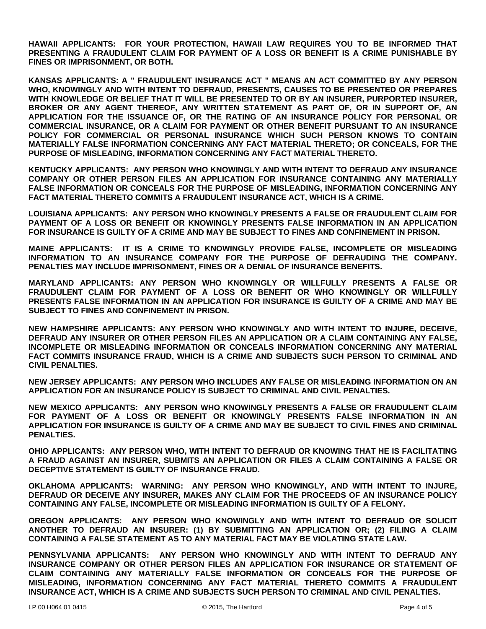**HAWAII APPLICANTS: FOR YOUR PROTECTION, HAWAII LAW REQUIRES YOU TO BE INFORMED THAT PRESENTING A FRAUDULENT CLAIM FOR PAYMENT OF A LOSS OR BENEFIT IS A CRIME PUNISHABLE BY FINES OR IMPRISONMENT, OR BOTH.** 

**KANSAS APPLICANTS: A " FRAUDULENT INSURANCE ACT " MEANS AN ACT COMMITTED BY ANY PERSON WHO, KNOWINGLY AND WITH INTENT TO DEFRAUD, PRESENTS, CAUSES TO BE PRESENTED OR PREPARES WITH KNOWLEDGE OR BELIEF THAT IT WILL BE PRESENTED TO OR BY AN INSURER, PURPORTED INSURER, BROKER OR ANY AGENT THEREOF, ANY WRITTEN STATEMENT AS PART OF, OR IN SUPPORT OF, AN APPLICATION FOR THE ISSUANCE OF, OR THE RATING OF AN INSURANCE POLICY FOR PERSONAL OR COMMERCIAL INSURANCE, OR A CLAIM FOR PAYMENT OR OTHER BENEFIT PURSUANT TO AN INSURANCE POLICY FOR COMMERCIAL OR PERSONAL INSURANCE WHICH SUCH PERSON KNOWS TO CONTAIN MATERIALLY FALSE INFORMATION CONCERNING ANY FACT MATERIAL THERETO; OR CONCEALS, FOR THE PURPOSE OF MISLEADING, INFORMATION CONCERNING ANY FACT MATERIAL THERETO.** 

**KENTUCKY APPLICANTS: ANY PERSON WHO KNOWINGLY AND WITH INTENT TO DEFRAUD ANY INSURANCE COMPANY OR OTHER PERSON FILES AN APPLICATION FOR INSURANCE CONTAINING ANY MATERIALLY FALSE INFORMATION OR CONCEALS FOR THE PURPOSE OF MISLEADING, INFORMATION CONCERNING ANY FACT MATERIAL THERETO COMMITS A FRAUDULENT INSURANCE ACT, WHICH IS A CRIME.** 

**LOUISIANA APPLICANTS: ANY PERSON WHO KNOWINGLY PRESENTS A FALSE OR FRAUDULENT CLAIM FOR PAYMENT OF A LOSS OR BENEFIT OR KNOWINGLY PRESENTS FALSE INFORMATION IN AN APPLICATION FOR INSURANCE IS GUILTY OF A CRIME AND MAY BE SUBJECT TO FINES AND CONFINEMENT IN PRISON.** 

**MAINE APPLICANTS: IT IS A CRIME TO KNOWINGLY PROVIDE FALSE, INCOMPLETE OR MISLEADING INFORMATION TO AN INSURANCE COMPANY FOR THE PURPOSE OF DEFRAUDING THE COMPANY. PENALTIES MAY INCLUDE IMPRISONMENT, FINES OR A DENIAL OF INSURANCE BENEFITS.** 

**MARYLAND APPLICANTS: ANY PERSON WHO KNOWINGLY OR WILLFULLY PRESENTS A FALSE OR FRAUDULENT CLAIM FOR PAYMENT OF A LOSS OR BENEFIT OR WHO KNOWINGLY OR WILLFULLY PRESENTS FALSE INFORMATION IN AN APPLICATION FOR INSURANCE IS GUILTY OF A CRIME AND MAY BE SUBJECT TO FINES AND CONFINEMENT IN PRISON.** 

**NEW HAMPSHIRE APPLICANTS: ANY PERSON WHO KNOWINGLY AND WITH INTENT TO INJURE, DECEIVE, DEFRAUD ANY INSURER OR OTHER PERSON FILES AN APPLICATION OR A CLAIM CONTAINING ANY FALSE, INCOMPLETE OR MISLEADING INFORMATION OR CONCEALS INFORMATION CONCERNING ANY MATERIAL FACT COMMITS INSURANCE FRAUD, WHICH IS A CRIME AND SUBJECTS SUCH PERSON TO CRIMINAL AND CIVIL PENALTIES.** 

**NEW JERSEY APPLICANTS: ANY PERSON WHO INCLUDES ANY FALSE OR MISLEADING INFORMATION ON AN APPLICATION FOR AN INSURANCE POLICY IS SUBJECT TO CRIMINAL AND CIVIL PENALTIES.** 

**NEW MEXICO APPLICANTS: ANY PERSON WHO KNOWINGLY PRESENTS A FALSE OR FRAUDULENT CLAIM FOR PAYMENT OF A LOSS OR BENEFIT OR KNOWINGLY PRESENTS FALSE INFORMATION IN AN APPLICATION FOR INSURANCE IS GUILTY OF A CRIME AND MAY BE SUBJECT TO CIVIL FINES AND CRIMINAL PENALTIES.** 

**OHIO APPLICANTS: ANY PERSON WHO, WITH INTENT TO DEFRAUD OR KNOWING THAT HE IS FACILITATING A FRAUD AGAINST AN INSURER, SUBMITS AN APPLICATION OR FILES A CLAIM CONTAINING A FALSE OR DECEPTIVE STATEMENT IS GUILTY OF INSURANCE FRAUD.** 

**OKLAHOMA APPLICANTS: WARNING: ANY PERSON WHO KNOWINGLY, AND WITH INTENT TO INJURE, DEFRAUD OR DECEIVE ANY INSURER, MAKES ANY CLAIM FOR THE PROCEEDS OF AN INSURANCE POLICY CONTAINING ANY FALSE, INCOMPLETE OR MISLEADING INFORMATION IS GUILTY OF A FELONY.** 

**OREGON APPLICANTS: ANY PERSON WHO KNOWINGLY AND WITH INTENT TO DEFRAUD OR SOLICIT ANOTHER TO DEFRAUD AN INSURER: (1) BY SUBMITTING AN APPLICATION OR; (2) FILING A CLAIM CONTAINING A FALSE STATEMENT AS TO ANY MATERIAL FACT MAY BE VIOLATING STATE LAW.** 

**PENNSYLVANIA APPLICANTS: ANY PERSON WHO KNOWINGLY AND WITH INTENT TO DEFRAUD ANY INSURANCE COMPANY OR OTHER PERSON FILES AN APPLICATION FOR INSURANCE OR STATEMENT OF CLAIM CONTAINING ANY MATERIALLY FALSE INFORMATION OR CONCEALS FOR THE PURPOSE OF MISLEADING, INFORMATION CONCERNING ANY FACT MATERIAL THERETO COMMITS A FRAUDULENT INSURANCE ACT, WHICH IS A CRIME AND SUBJECTS SUCH PERSON TO CRIMINAL AND CIVIL PENALTIES.**